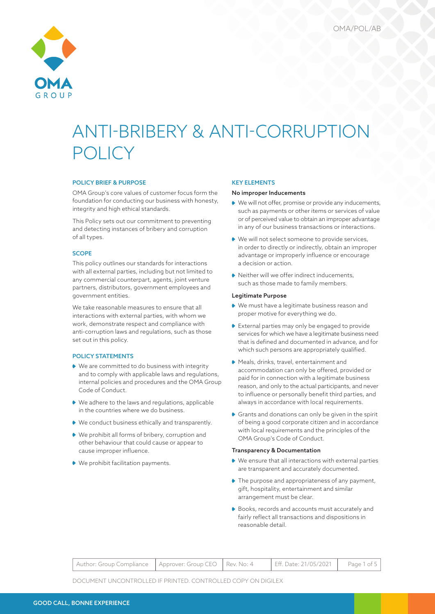

# POLICY BRIEF & PURPOSE

OMA Group's core values of customer focus form the foundation for conducting our business with honesty, integrity and high ethical standards.

This Policy sets out our commitment to preventing and detecting instances of bribery and corruption of all types.

# SCOPE

This policy outlines our standards for interactions with all external parties, including but not limited to any commercial counterpart, agents, joint venture partners, distributors, government employees and government entities.

We take reasonable measures to ensure that all interactions with external parties, with whom we work, demonstrate respect and compliance with anti-corruption laws and regulations, such as those set out in this policy.

## POLICY STATEMENTS

- ◆ We are committed to do business with integrity and to comply with applicable laws and regulations, internal policies and procedures and the OMA Group Code of Conduct.
- We adhere to the laws and regulations, applicable in the countries where we do business.
- ◆ We conduct business ethically and transparently.
- We prohibit all forms of bribery, corruption and other behaviour that could cause or appear to cause improper influence.
- We prohibit facilitation payments.

# KEY ELEMENTS

#### No improper Inducements

- ◆ We will not offer, promise or provide any inducements, such as payments or other items or services of value or of perceived value to obtain an improper advantage in any of our business transactions or interactions.
- ◆ We will not select someone to provide services, in order to directly or indirectly, obtain an improper advantage or improperly influence or encourage a decision or action.
- ◆ Neither will we offer indirect inducements, such as those made to family members.

## Legitimate Purpose

- We must have a legitimate business reason and proper motive for everything we do.
- External parties may only be engaged to provide services for which we have a legitimate business need that is defined and documented in advance, and for which such persons are appropriately qualified.
- Meals, drinks, travel, entertainment and accommodation can only be offered, provided or paid for in connection with a legitimate business reason, and only to the actual participants, and never to influence or personally benefit third parties, and always in accordance with local requirements.
- Grants and donations can only be given in the spirit of being a good corporate citizen and in accordance with local requirements and the principles of the OMA Group's Code of Conduct.

# Transparency & Documentation

- We ensure that all interactions with external parties are transparent and accurately documented.
- ◆ The purpose and appropriateness of any payment, gift, hospitality, entertainment and similar arrangement must be clear.
- ◆ Books, records and accounts must accurately and fairly reflect all transactions and dispositions in reasonable detail.

| Author: Group Compliance   Approver: Group CEO   Rev. No: 4 |  |  | Eff. Date: 21/05/2021   Page 1 of 5 |  |
|-------------------------------------------------------------|--|--|-------------------------------------|--|
|-------------------------------------------------------------|--|--|-------------------------------------|--|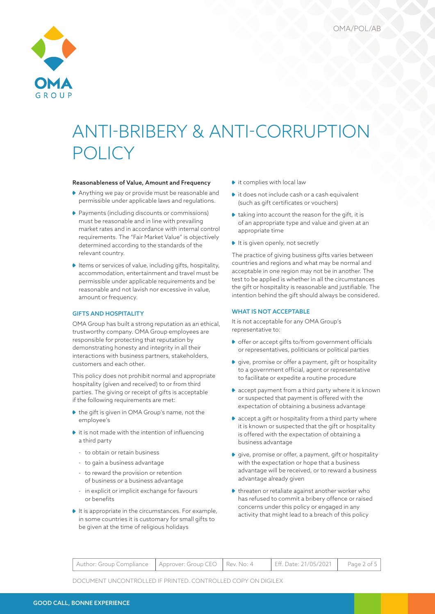

### Reasonableness of Value, Amount and Frequency

- Anything we pay or provide must be reasonable and permissible under applicable laws and regulations.
- ◆ Payments (including discounts or commissions) must be reasonable and in line with prevailing market rates and in accordance with internal control requirements. The "Fair Market Value" is objectively determined according to the standards of the relevant country.
- $\blacklozenge$  Items or services of value, including gifts, hospitality, accommodation, entertainment and travel must be permissible under applicable requirements and be reasonable and not lavish nor excessive in value, amount or frequency.

# GIFTS AND HOSPITALITY

OMA Group has built a strong reputation as an ethical, trustworthy company. OMA Group employees are responsible for protecting that reputation by demonstrating honesty and integrity in all their interactions with business partners, stakeholders, customers and each other.

This policy does not prohibit normal and appropriate hospitality (given and received) to or from third parties. The giving or receipt of gifts is acceptable if the following requirements are met:

- ◆ the gift is given in OMA Group's name, not the employee's
- $\blacktriangleright$  it is not made with the intention of influencing a third party
	- to obtain or retain business
	- to gain a business advantage
	- to reward the provision or retention of business or a business advantage
	- in explicit or implicit exchange for favours or benefits
- $\blacktriangleright$  It is appropriate in the circumstances. For example, in some countries it is customary for small gifts to be given at the time of religious holidays
- $\bullet$  it complies with local law
- $\bullet$  it does not include cash or a cash equivalent (such as gift certificates or vouchers)
- $\bullet$  taking into account the reason for the gift, it is of an appropriate type and value and given at an appropriate time
- $\blacktriangleright$  It is given openly, not secretly

The practice of giving business gifts varies between countries and regions and what may be normal and acceptable in one region may not be in another. The test to be applied is whether in all the circumstances the gift or hospitality is reasonable and justifiable. The intention behind the gift should always be considered.

## WHAT IS NOT ACCEPTABLE

It is not acceptable for any OMA Group's representative to:

- ◆ offer or accept gifts to/from government officials or representatives, politicians or political parties
- give, promise or offer a payment, gift or hospitality to a government official, agent or representative to facilitate or expedite a routine procedure
- ◆ accept payment from a third party where it is known or suspected that payment is offered with the expectation of obtaining a business advantage
- accept a gift or hospitality from a third party where it is known or suspected that the gift or hospitality is offered with the expectation of obtaining a business advantage
- give, promise or offer, a payment, gift or hospitality with the expectation or hope that a business advantage will be received, or to reward a business advantage already given
- $\blacklozenge$  threaten or retaliate against another worker who has refused to commit a bribery offence or raised concerns under this policy or engaged in any activity that might lead to a breach of this policy

| Author: Group Compliance   Approver: Group CEO   Rev. No: 4 |  |  | Eff. Date: 21/05/2021 | Page 2 of 5 |
|-------------------------------------------------------------|--|--|-----------------------|-------------|
|-------------------------------------------------------------|--|--|-----------------------|-------------|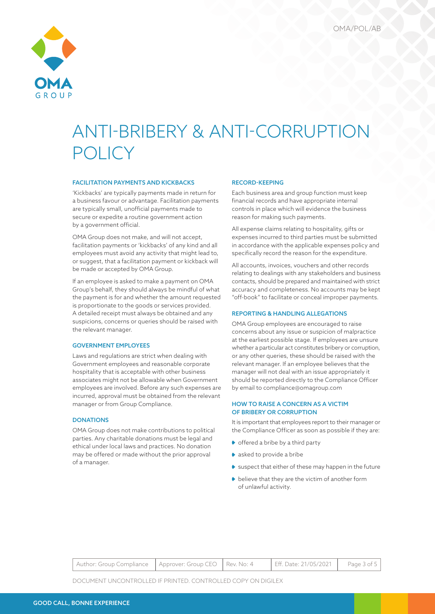

### FACILITATION PAYMENTS AND KICKBACKS

'Kickbacks' are typically payments made in return for a business favour or advantage. Facilitation payments are typically small, unofficial payments made to secure or expedite a routine government action by a government official.

OMA Group does not make, and will not accept, facilitation payments or 'kickbacks' of any kind and all employees must avoid any activity that might lead to, or suggest, that a facilitation payment or kickback will be made or accepted by OMA Group.

If an employee is asked to make a payment on OMA Group's behalf, they should always be mindful of what the payment is for and whether the amount requested is proportionate to the goods or services provided. A detailed receipt must always be obtained and any suspicions, concerns or queries should be raised with the relevant manager.

# GOVERNMENT EMPLOYEES

Laws and regulations are strict when dealing with Government employees and reasonable corporate hospitality that is acceptable with other business associates might not be allowable when Government employees are involved. Before any such expenses are incurred, approval must be obtained from the relevant manager or from Group Compliance.

# **DONATIONS**

OMA Group does not make contributions to political parties. Any charitable donations must be legal and ethical under local laws and practices. No donation may be offered or made without the prior approval of a manager.

### RECORD-KEEPING

Each business area and group function must keep financial records and have appropriate internal controls in place which will evidence the business reason for making such payments.

All expense claims relating to hospitality, gifts or expenses incurred to third parties must be submitted in accordance with the applicable expenses policy and specifically record the reason for the expenditure.

All accounts, invoices, vouchers and other records relating to dealings with any stakeholders and business contacts, should be prepared and maintained with strict accuracy and completeness. No accounts may be kept "off-book" to facilitate or conceal improper payments.

### REPORTING & HANDLING ALLEGATIONS

OMA Group employees are encouraged to raise concerns about any issue or suspicion of malpractice at the earliest possible stage. If employees are unsure whether a particular act constitutes bribery or corruption, or any other queries, these should be raised with the relevant manager. If an employee believes that the manager will not deal with an issue appropriately it should be reported directly to the Compliance Officer by email to compliance@omagroup.com

# HOW TO RAISE A CONCERN AS A VICTIM OF BRIBERY OR CORRUPTION

It is important that employees report to their manager or the Compliance Officer as soon as possible if they are:

- ◆ offered a bribe by a third party
- asked to provide a bribe
- suspect that either of these may happen in the future
- $\blacktriangleright$  believe that they are the victim of another form of unlawful activity.

| Author: Group Compliance   Approver: Group CEO   Rev. No: 4 |  | Eff. Date: 21/05/2021   Page 3 of 5 |  |
|-------------------------------------------------------------|--|-------------------------------------|--|
|-------------------------------------------------------------|--|-------------------------------------|--|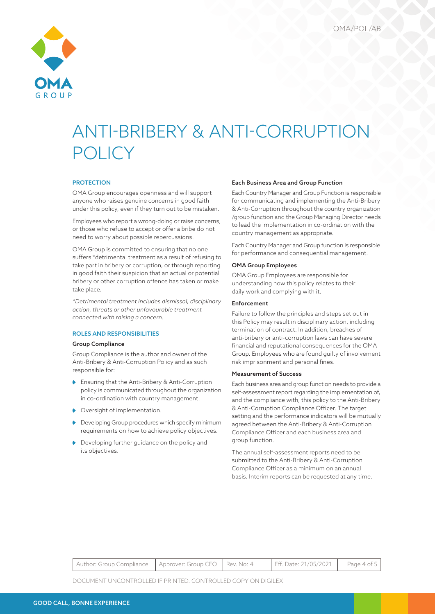

### **PROTECTION**

OMA Group encourages openness and will support anyone who raises genuine concerns in good faith under this policy, even if they turn out to be mistaken.

Employees who report a wrong-doing or raise concerns, or those who refuse to accept or offer a bribe do not need to worry about possible repercussions.

OMA Group is committed to ensuring that no one suffers \*detrimental treatment as a result of refusing to take part in bribery or corruption, or through reporting in good faith their suspicion that an actual or potential bribery or other corruption offence has taken or make take place.

*\*Detrimental treatment includes dismissal, disciplinary action, threats or other unfavourable treatment connected with raising a concern.*

# ROLES AND RESPONSIBILITIES

### Group Compliance

Group Compliance is the author and owner of the Anti-Bribery & Anti-Corruption Policy and as such responsible for:

- ◆ Ensuring that the Anti-Bribery & Anti-Corruption policy is communicated throughout the organization in co-ordination with country management.
- ◆ Oversight of implementation.
- Developing Group procedures which specify minimum requirements on how to achieve policy objectives.
- Developing further guidance on the policy and its objectives.

### Each Business Area and Group Function

Each Country Manager and Group Function is responsible for communicating and implementing the Anti-Bribery & Anti-Corruption throughout the country organization /group function and the Group Managing Director needs to lead the implementation in co-ordination with the country management as appropriate.

Each Country Manager and Group function is responsible for performance and consequential management.

#### OMA Group Employees

OMA Group Employees are responsible for understanding how this policy relates to their daily work and complying with it.

## Enforcement

Failure to follow the principles and steps set out in this Policy may result in disciplinary action, including termination of contract. In addition, breaches of anti-bribery or anti-corruption laws can have severe financial and reputational consequences for the OMA Group. Employees who are found guilty of involvement risk imprisonment and personal fines.

#### Measurement of Success

Each business area and group function needs to provide a self-assessment report regarding the implementation of, and the compliance with, this policy to the Anti-Bribery & Anti-Corruption Compliance Officer. The target setting and the performance indicators will be mutually agreed between the Anti-Bribery & Anti-Corruption Compliance Officer and each business area and group function.

The annual self-assessment reports need to be submitted to the Anti-Bribery & Anti-Corruption Compliance Officer as a minimum on an annual basis. Interim reports can be requested at any time.

| Author: Group Compliance   Approver: Group CEO   Rev. No: 4 |  | Eff. Date: 21/05/2021 Page 4 of 5 |  |
|-------------------------------------------------------------|--|-----------------------------------|--|
|                                                             |  |                                   |  |